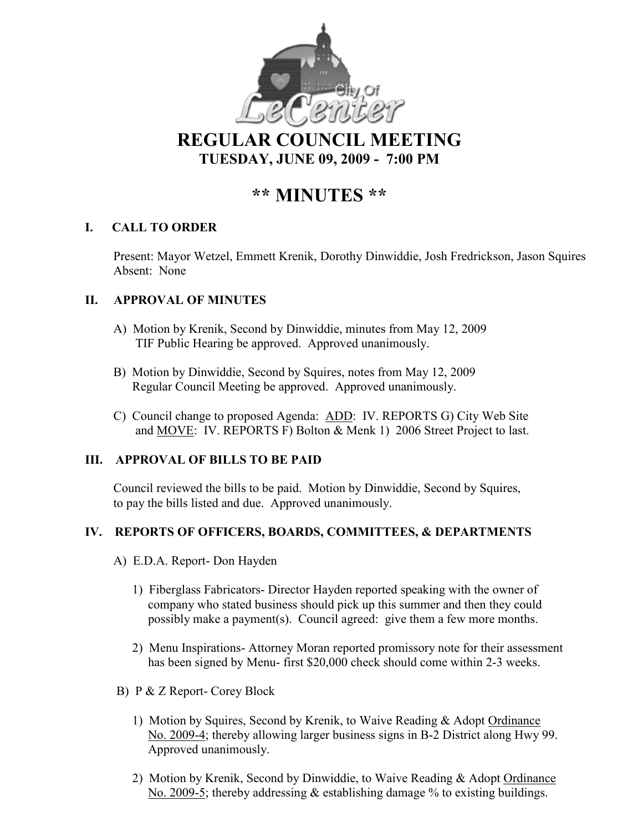

**REGULAR COUNCIL MEETING TUESDAY, JU E 09, 2009 - 7:00 PM** 

# **\*\* MI UTES \*\***

# **I. CALL TO ORDER**

Present: Mayor Wetzel, Emmett Krenik, Dorothy Dinwiddie, Josh Fredrickson, Jason Squires Absent: None

# **II. APPROVAL OF MINUTES**

- A) Motion by Krenik, Second by Dinwiddie, minutes from May 12, 2009 TIF Public Hearing be approved. Approved unanimously.
- B) Motion by Dinwiddie, Second by Squires, notes from May 12, 2009 Regular Council Meeting be approved. Approved unanimously.
- C) Council change to proposed Agenda: ADD: IV. REPORTS G) City Web Site and MOVE: IV. REPORTS F) Bolton & Menk 1) 2006 Street Project to last.

## **III. APPROVAL OF BILLS TO BE PAID**

Council reviewed the bills to be paid. Motion by Dinwiddie, Second by Squires, to pay the bills listed and due. Approved unanimously.

## **IV. REPORTS OF OFFICERS, BOARDS, COMMITTEES, & DEPARTME TS**

- A) E.D.A. Report- Don Hayden
	- 1) Fiberglass Fabricators- Director Hayden reported speaking with the owner of company who stated business should pick up this summer and then they could possibly make a payment(s). Council agreed: give them a few more months.
	- 2) Menu Inspirations- Attorney Moran reported promissory note for their assessment has been signed by Menu- first \$20,000 check should come within 2-3 weeks.
- B) P & Z Report- Corey Block
	- 1) Motion by Squires, Second by Krenik, to Waive Reading & Adopt Ordinance No. 2009-4; thereby allowing larger business signs in B-2 District along Hwy 99. Approved unanimously.
	- 2) Motion by Krenik, Second by Dinwiddie, to Waive Reading & Adopt Ordinance No. 2009-5; thereby addressing  $\&$  establishing damage % to existing buildings.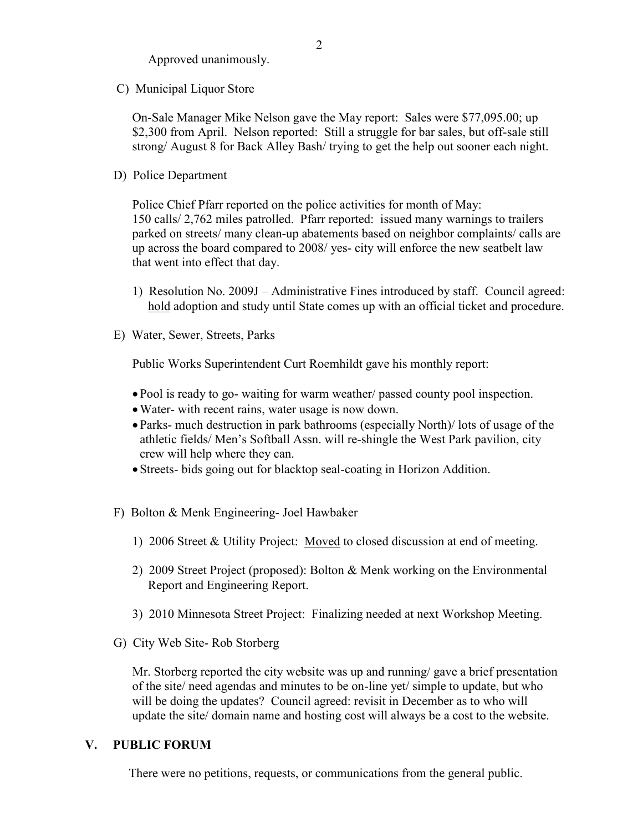Approved unanimously.

C) Municipal Liquor Store

On-Sale Manager Mike Nelson gave the May report: Sales were \$77,095.00; up \$2,300 from April. Nelson reported: Still a struggle for bar sales, but off-sale still strong/ August 8 for Back Alley Bash/ trying to get the help out sooner each night.

D) Police Department

Police Chief Pfarr reported on the police activities for month of May: 150 calls/ 2,762 miles patrolled. Pfarr reported: issued many warnings to trailers parked on streets/ many clean-up abatements based on neighbor complaints/ calls are up across the board compared to 2008/ yes- city will enforce the new seatbelt law that went into effect that day.

- 1) Resolution No. 2009J Administrative Fines introduced by staff. Council agreed: hold adoption and study until State comes up with an official ticket and procedure.
- E) Water, Sewer, Streets, Parks

Public Works Superintendent Curt Roemhildt gave his monthly report:

- Pool is ready to go- waiting for warm weather/ passed county pool inspection.
- •Water- with recent rains, water usage is now down.
- Parks- much destruction in park bathrooms (especially North)/ lots of usage of the athletic fields/ Men's Softball Assn. will re-shingle the West Park pavilion, city crew will help where they can.
- Streets- bids going out for blacktop seal-coating in Horizon Addition.
- F) Bolton & Menk Engineering- Joel Hawbaker
	- 1) 2006 Street & Utility Project: Moved to closed discussion at end of meeting.
	- 2) 2009 Street Project (proposed): Bolton & Menk working on the Environmental Report and Engineering Report.
	- 3) 2010 Minnesota Street Project: Finalizing needed at next Workshop Meeting.
- G) City Web Site- Rob Storberg

 Mr. Storberg reported the city website was up and running/ gave a brief presentation of the site/ need agendas and minutes to be on-line yet/ simple to update, but who will be doing the updates? Council agreed: revisit in December as to who will update the site/ domain name and hosting cost will always be a cost to the website.

#### **V. PUBLIC FORUM**

There were no petitions, requests, or communications from the general public.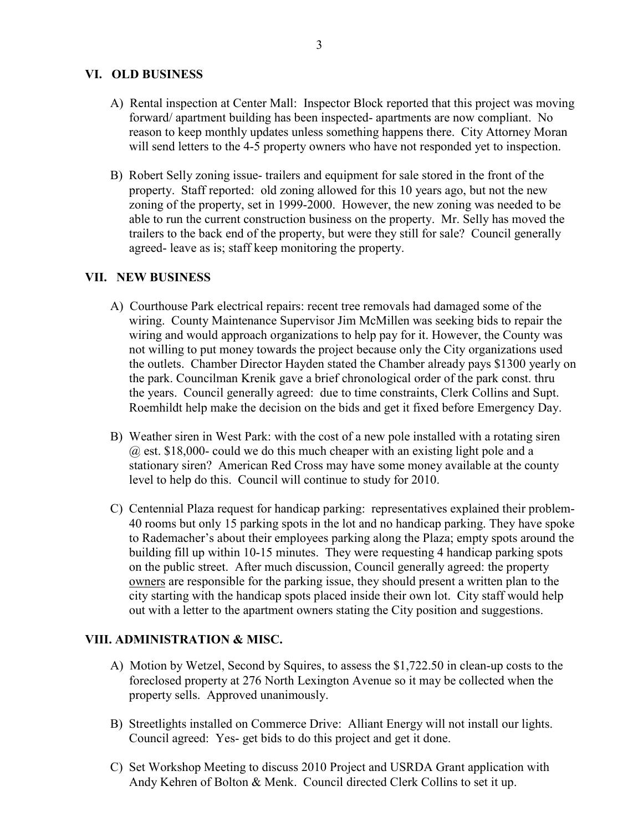#### **VI. OLD BUSI ESS**

- A) Rental inspection at Center Mall: Inspector Block reported that this project was moving forward/ apartment building has been inspected- apartments are now compliant. No reason to keep monthly updates unless something happens there. City Attorney Moran will send letters to the 4-5 property owners who have not responded yet to inspection.
- B) Robert Selly zoning issue- trailers and equipment for sale stored in the front of the property. Staff reported: old zoning allowed for this 10 years ago, but not the new zoning of the property, set in 1999-2000. However, the new zoning was needed to be able to run the current construction business on the property. Mr. Selly has moved the trailers to the back end of the property, but were they still for sale? Council generally agreed- leave as is; staff keep monitoring the property.

#### **VII. EW BUSI ESS**

- A) Courthouse Park electrical repairs: recent tree removals had damaged some of the wiring. County Maintenance Supervisor Jim McMillen was seeking bids to repair the wiring and would approach organizations to help pay for it. However, the County was not willing to put money towards the project because only the City organizations used the outlets. Chamber Director Hayden stated the Chamber already pays \$1300 yearly on the park. Councilman Krenik gave a brief chronological order of the park const. thru the years. Council generally agreed: due to time constraints, Clerk Collins and Supt. Roemhildt help make the decision on the bids and get it fixed before Emergency Day.
- B) Weather siren in West Park: with the cost of a new pole installed with a rotating siren @ est. \$18,000- could we do this much cheaper with an existing light pole and a stationary siren? American Red Cross may have some money available at the county level to help do this. Council will continue to study for 2010.
- C) Centennial Plaza request for handicap parking: representatives explained their problem- 40 rooms but only 15 parking spots in the lot and no handicap parking. They have spoke to Rademacher's about their employees parking along the Plaza; empty spots around the building fill up within 10-15 minutes. They were requesting 4 handicap parking spots on the public street. After much discussion, Council generally agreed: the property owners are responsible for the parking issue, they should present a written plan to the city starting with the handicap spots placed inside their own lot. City staff would help out with a letter to the apartment owners stating the City position and suggestions.

#### **VIII. ADMI ISTRATIO & MISC.**

- A) Motion by Wetzel, Second by Squires, to assess the \$1,722.50 in clean-up costs to the foreclosed property at 276 North Lexington Avenue so it may be collected when the property sells. Approved unanimously.
- B) Streetlights installed on Commerce Drive: Alliant Energy will not install our lights. Council agreed: Yes- get bids to do this project and get it done.
- C) Set Workshop Meeting to discuss 2010 Project and USRDA Grant application with Andy Kehren of Bolton & Menk. Council directed Clerk Collins to set it up.